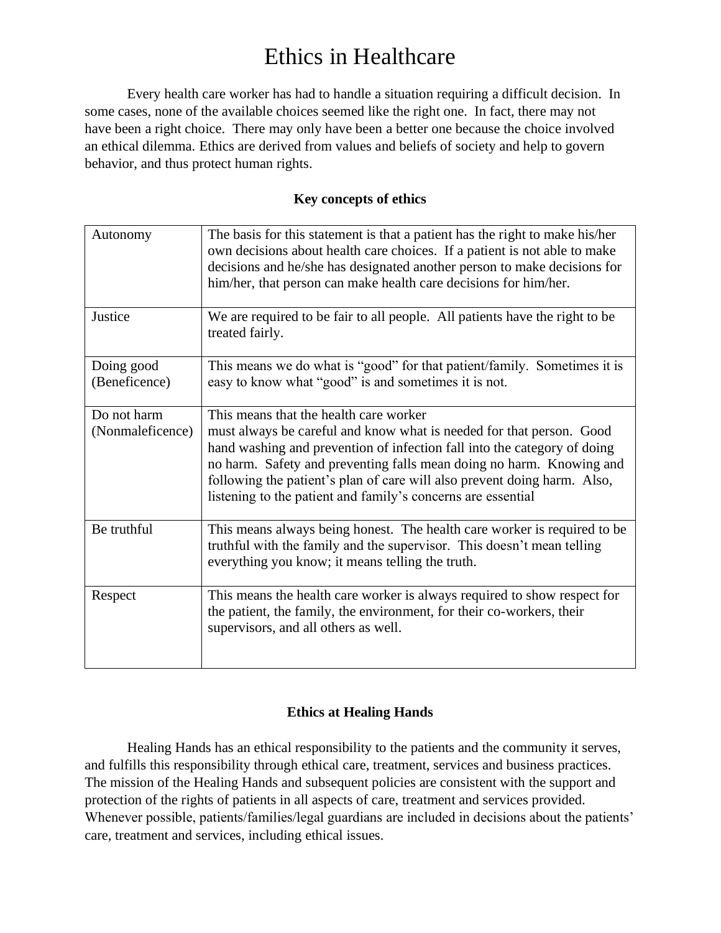Every health care worker has had to handle a situation requiring a difficult decision. In some cases, none of the available choices seemed like the right one. In fact, there may not have been a right choice. There may only have been a better one because the choice involved an ethical dilemma. Ethics are derived from values and beliefs of society and help to govern behavior, and thus protect human rights.

### **Key concepts of ethics**

| Autonomy                        | The basis for this statement is that a patient has the right to make his/her<br>own decisions about health care choices. If a patient is not able to make<br>decisions and he/she has designated another person to make decisions for<br>him/her, that person can make health care decisions for him/her.                                                                                                      |
|---------------------------------|----------------------------------------------------------------------------------------------------------------------------------------------------------------------------------------------------------------------------------------------------------------------------------------------------------------------------------------------------------------------------------------------------------------|
| Justice                         | We are required to be fair to all people. All patients have the right to be<br>treated fairly.                                                                                                                                                                                                                                                                                                                 |
| Doing good<br>(Beneficence)     | This means we do what is "good" for that patient/family. Sometimes it is<br>easy to know what "good" is and sometimes it is not.                                                                                                                                                                                                                                                                               |
| Do not harm<br>(Nonmaleficence) | This means that the health care worker<br>must always be careful and know what is needed for that person. Good<br>hand washing and prevention of infection fall into the category of doing<br>no harm. Safety and preventing falls mean doing no harm. Knowing and<br>following the patient's plan of care will also prevent doing harm. Also,<br>listening to the patient and family's concerns are essential |
| Be truthful                     | This means always being honest. The health care worker is required to be<br>truthful with the family and the supervisor. This doesn't mean telling<br>everything you know; it means telling the truth.                                                                                                                                                                                                         |
| Respect                         | This means the health care worker is always required to show respect for<br>the patient, the family, the environment, for their co-workers, their<br>supervisors, and all others as well.                                                                                                                                                                                                                      |

### **Ethics at Healing Hands**

Healing Hands has an ethical responsibility to the patients and the community it serves, and fulfills this responsibility through ethical care, treatment, services and business practices. The mission of the Healing Hands and subsequent policies are consistent with the support and protection of the rights of patients in all aspects of care, treatment and services provided. Whenever possible, patients/families/legal guardians are included in decisions about the patients' care, treatment and services, including ethical issues.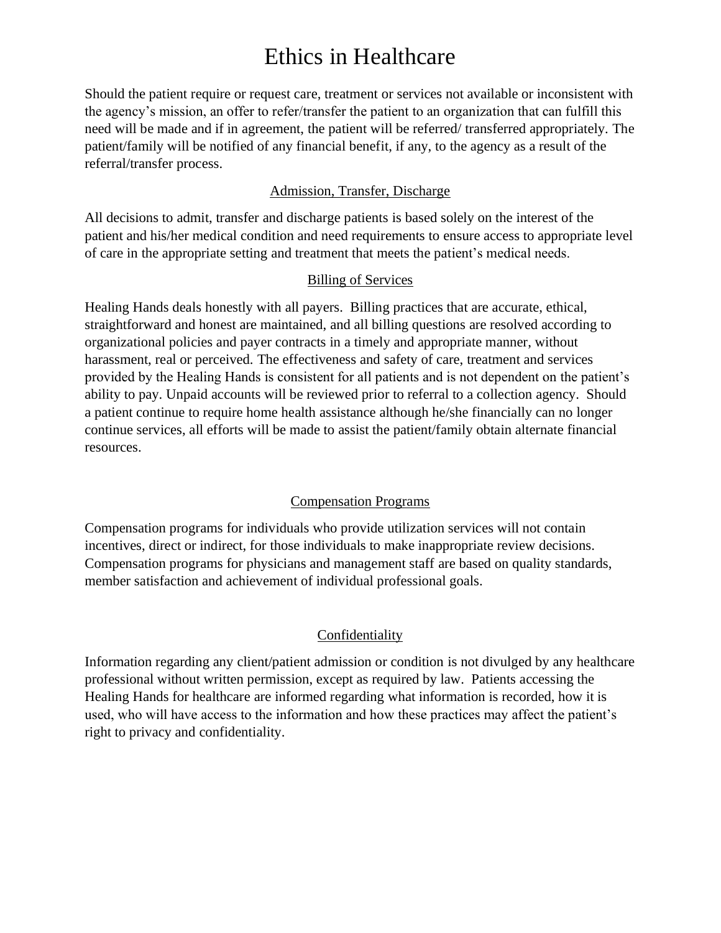Should the patient require or request care, treatment or services not available or inconsistent with the agency's mission, an offer to refer/transfer the patient to an organization that can fulfill this need will be made and if in agreement, the patient will be referred/ transferred appropriately. The patient/family will be notified of any financial benefit, if any, to the agency as a result of the referral/transfer process.

### Admission, Transfer, Discharge

All decisions to admit, transfer and discharge patients is based solely on the interest of the patient and his/her medical condition and need requirements to ensure access to appropriate level of care in the appropriate setting and treatment that meets the patient's medical needs.

### Billing of Services

Healing Hands deals honestly with all payers. Billing practices that are accurate, ethical, straightforward and honest are maintained, and all billing questions are resolved according to organizational policies and payer contracts in a timely and appropriate manner, without harassment, real or perceived. The effectiveness and safety of care, treatment and services provided by the Healing Hands is consistent for all patients and is not dependent on the patient's ability to pay. Unpaid accounts will be reviewed prior to referral to a collection agency. Should a patient continue to require home health assistance although he/she financially can no longer continue services, all efforts will be made to assist the patient/family obtain alternate financial resources.

#### Compensation Programs

Compensation programs for individuals who provide utilization services will not contain incentives, direct or indirect, for those individuals to make inappropriate review decisions. Compensation programs for physicians and management staff are based on quality standards, member satisfaction and achievement of individual professional goals.

### **Confidentiality**

Information regarding any client/patient admission or condition is not divulged by any healthcare professional without written permission, except as required by law. Patients accessing the Healing Hands for healthcare are informed regarding what information is recorded, how it is used, who will have access to the information and how these practices may affect the patient's right to privacy and confidentiality.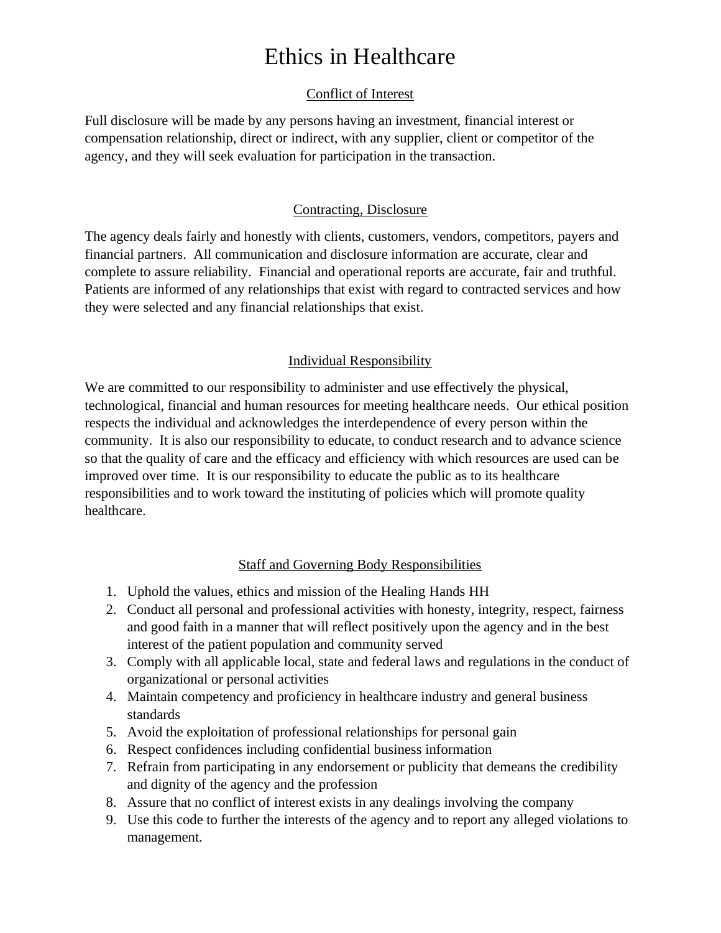### Conflict of Interest

Full disclosure will be made by any persons having an investment, financial interest or compensation relationship, direct or indirect, with any supplier, client or competitor of the agency, and they will seek evaluation for participation in the transaction.

### Contracting, Disclosure

The agency deals fairly and honestly with clients, customers, vendors, competitors, payers and financial partners. All communication and disclosure information are accurate, clear and complete to assure reliability. Financial and operational reports are accurate, fair and truthful. Patients are informed of any relationships that exist with regard to contracted services and how they were selected and any financial relationships that exist.

### Individual Responsibility

We are committed to our responsibility to administer and use effectively the physical, technological, financial and human resources for meeting healthcare needs. Our ethical position respects the individual and acknowledges the interdependence of every person within the community. It is also our responsibility to educate, to conduct research and to advance science so that the quality of care and the efficacy and efficiency with which resources are used can be improved over time. It is our responsibility to educate the public as to its healthcare responsibilities and to work toward the instituting of policies which will promote quality healthcare.

### Staff and Governing Body Responsibilities

- 1. Uphold the values, ethics and mission of the Healing Hands HH
- 2. Conduct all personal and professional activities with honesty, integrity, respect, fairness and good faith in a manner that will reflect positively upon the agency and in the best interest of the patient population and community served
- 3. Comply with all applicable local, state and federal laws and regulations in the conduct of organizational or personal activities
- 4. Maintain competency and proficiency in healthcare industry and general business standards
- 5. Avoid the exploitation of professional relationships for personal gain
- 6. Respect confidences including confidential business information
- 7. Refrain from participating in any endorsement or publicity that demeans the credibility and dignity of the agency and the profession
- 8. Assure that no conflict of interest exists in any dealings involving the company
- 9. Use this code to further the interests of the agency and to report any alleged violations to management.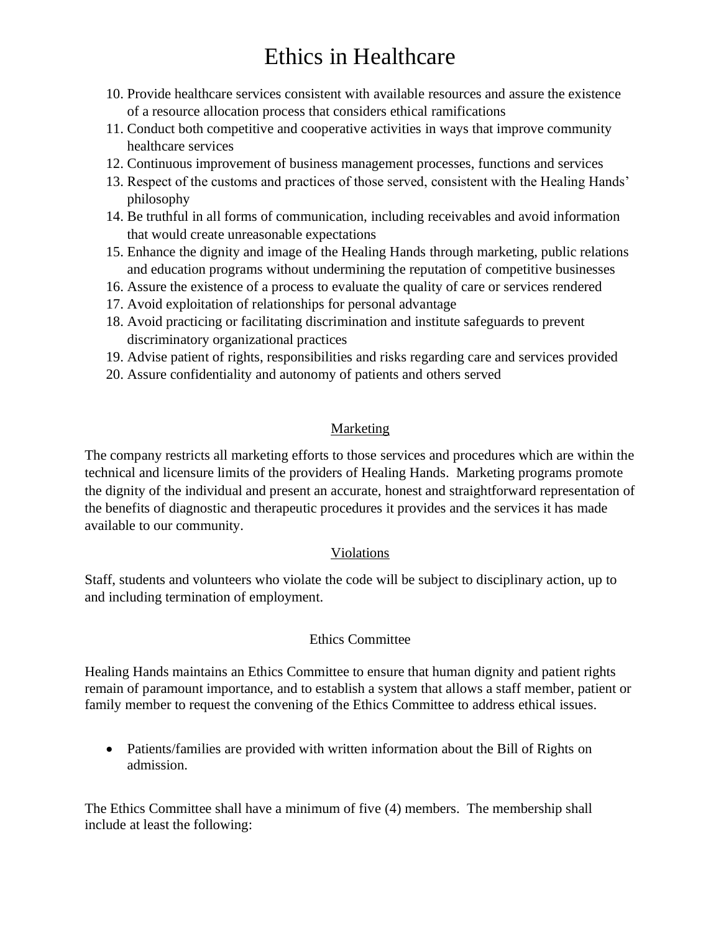- 10. Provide healthcare services consistent with available resources and assure the existence of a resource allocation process that considers ethical ramifications
- 11. Conduct both competitive and cooperative activities in ways that improve community healthcare services
- 12. Continuous improvement of business management processes, functions and services
- 13. Respect of the customs and practices of those served, consistent with the Healing Hands' philosophy
- 14. Be truthful in all forms of communication, including receivables and avoid information that would create unreasonable expectations
- 15. Enhance the dignity and image of the Healing Hands through marketing, public relations and education programs without undermining the reputation of competitive businesses
- 16. Assure the existence of a process to evaluate the quality of care or services rendered
- 17. Avoid exploitation of relationships for personal advantage
- 18. Avoid practicing or facilitating discrimination and institute safeguards to prevent discriminatory organizational practices
- 19. Advise patient of rights, responsibilities and risks regarding care and services provided
- 20. Assure confidentiality and autonomy of patients and others served

### Marketing

The company restricts all marketing efforts to those services and procedures which are within the technical and licensure limits of the providers of Healing Hands. Marketing programs promote the dignity of the individual and present an accurate, honest and straightforward representation of the benefits of diagnostic and therapeutic procedures it provides and the services it has made available to our community.

### Violations

Staff, students and volunteers who violate the code will be subject to disciplinary action, up to and including termination of employment.

### Ethics Committee

Healing Hands maintains an Ethics Committee to ensure that human dignity and patient rights remain of paramount importance, and to establish a system that allows a staff member, patient or family member to request the convening of the Ethics Committee to address ethical issues.

• Patients/families are provided with written information about the Bill of Rights on admission.

The Ethics Committee shall have a minimum of five (4) members. The membership shall include at least the following: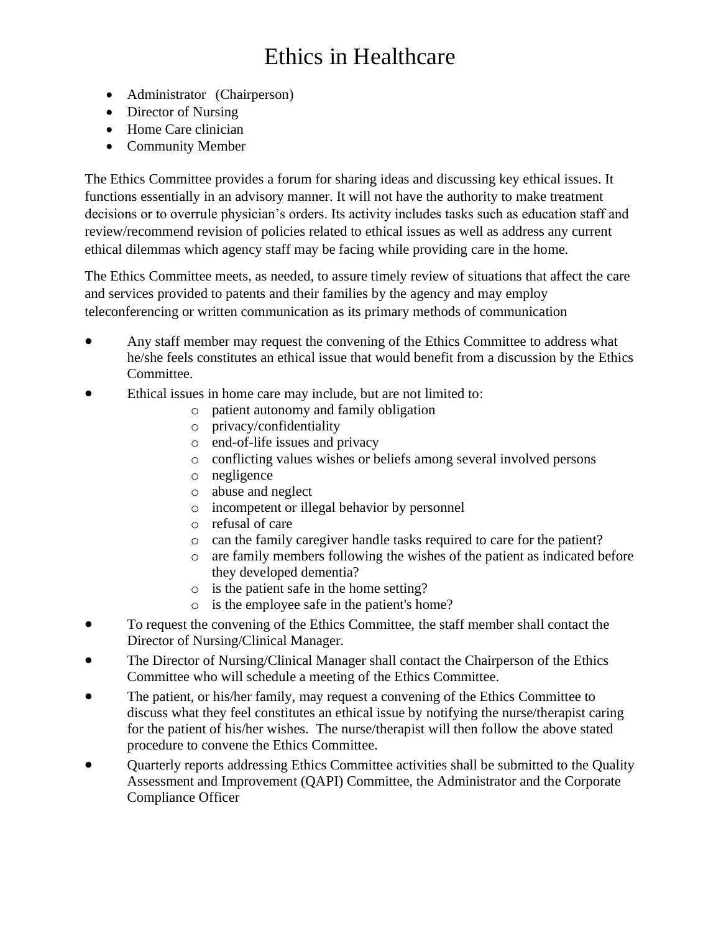- Administrator (Chairperson)
- Director of Nursing
- Home Care clinician
- Community Member

The Ethics Committee provides a forum for sharing ideas and discussing key ethical issues. It functions essentially in an advisory manner. It will not have the authority to make treatment decisions or to overrule physician's orders. Its activity includes tasks such as education staff and review/recommend revision of policies related to ethical issues as well as address any current ethical dilemmas which agency staff may be facing while providing care in the home.

The Ethics Committee meets, as needed, to assure timely review of situations that affect the care and services provided to patents and their families by the agency and may employ teleconferencing or written communication as its primary methods of communication

- Any staff member may request the convening of the Ethics Committee to address what he/she feels constitutes an ethical issue that would benefit from a discussion by the Ethics Committee.
- Ethical issues in home care may include, but are not limited to:
	- o patient autonomy and family obligation
	- o privacy/confidentiality
	- o end-of-life issues and privacy
	- o conflicting values wishes or beliefs among several involved persons
	- o negligence
	- o abuse and neglect
	- o incompetent or illegal behavior by personnel
	- o refusal of care
	- o can the family caregiver handle tasks required to care for the patient?
	- o are family members following the wishes of the patient as indicated before they developed dementia?
	- o is the patient safe in the home setting?
	- o is the employee safe in the patient's home?
- To request the convening of the Ethics Committee, the staff member shall contact the Director of Nursing/Clinical Manager.
- The Director of Nursing/Clinical Manager shall contact the Chairperson of the Ethics Committee who will schedule a meeting of the Ethics Committee.
- The patient, or his/her family, may request a convening of the Ethics Committee to discuss what they feel constitutes an ethical issue by notifying the nurse/therapist caring for the patient of his/her wishes. The nurse/therapist will then follow the above stated procedure to convene the Ethics Committee.
- Quarterly reports addressing Ethics Committee activities shall be submitted to the Quality Assessment and Improvement (QAPI) Committee, the Administrator and the Corporate Compliance Officer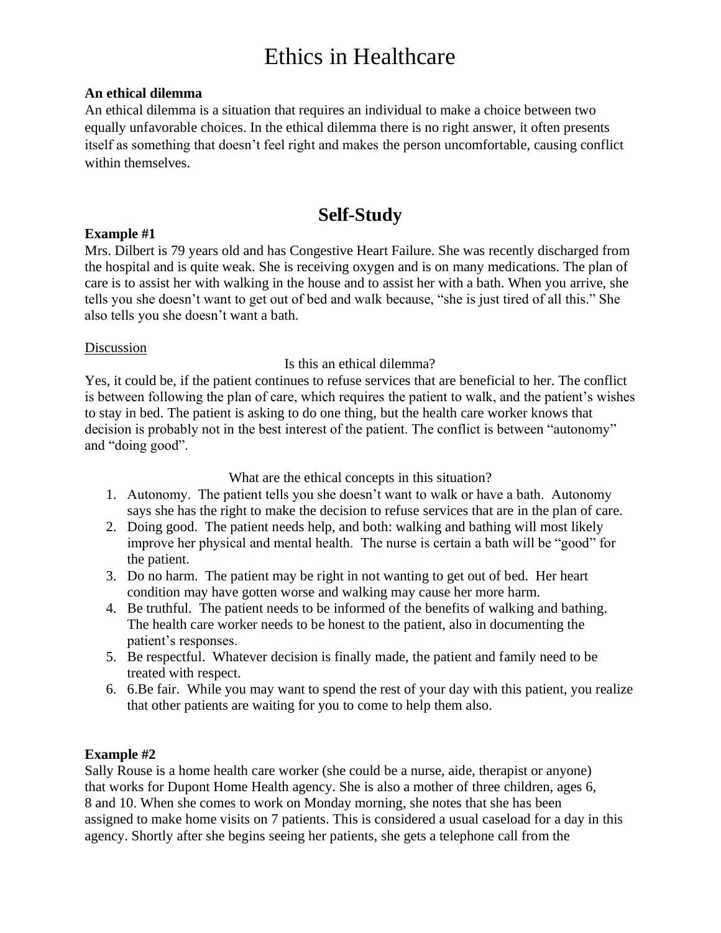#### **An ethical dilemma**

An ethical dilemma is a situation that requires an individual to make a choice between two equally unfavorable choices. In the ethical dilemma there is no right answer, it often presents itself as something that doesn't feel right and makes the person uncomfortable, causing conflict within themselves.

### **Self-Study**

### **Example #1**

Mrs. Dilbert is 79 years old and has Congestive Heart Failure. She was recently discharged from the hospital and is quite weak. She is receiving oxygen and is on many medications. The plan of care is to assist her with walking in the house and to assist her with a bath. When you arrive, she tells you she doesn't want to get out of bed and walk because, "she is just tired of all this." She also tells you she doesn't want a bath.

### Discussion

### Is this an ethical dilemma?

Yes, it could be, if the patient continues to refuse services that are beneficial to her. The conflict is between following the plan of care, which requires the patient to walk, and the patient's wishes to stay in bed. The patient is asking to do one thing, but the health care worker knows that decision is probably not in the best interest of the patient. The conflict is between "autonomy" and "doing good".

What are the ethical concepts in this situation?

- 1. Autonomy. The patient tells you she doesn't want to walk or have a bath. Autonomy says she has the right to make the decision to refuse services that are in the plan of care.
- 2. Doing good. The patient needs help, and both: walking and bathing will most likely improve her physical and mental health. The nurse is certain a bath will be "good" for the patient.
- 3. Do no harm. The patient may be right in not wanting to get out of bed. Her heart condition may have gotten worse and walking may cause her more harm.
- 4. Be truthful. The patient needs to be informed of the benefits of walking and bathing. The health care worker needs to be honest to the patient, also in documenting the patient's responses.
- 5. Be respectful. Whatever decision is finally made, the patient and family need to be treated with respect.
- 6. 6.Be fair. While you may want to spend the rest of your day with this patient, you realize that other patients are waiting for you to come to help them also.

### **Example #2**

Sally Rouse is a home health care worker (she could be a nurse, aide, therapist or anyone) that works for Dupont Home Health agency. She is also a mother of three children, ages 6, 8 and 10. When she comes to work on Monday morning, she notes that she has been assigned to make home visits on 7 patients. This is considered a usual caseload for a day in this agency. Shortly after she begins seeing her patients, she gets a telephone call from the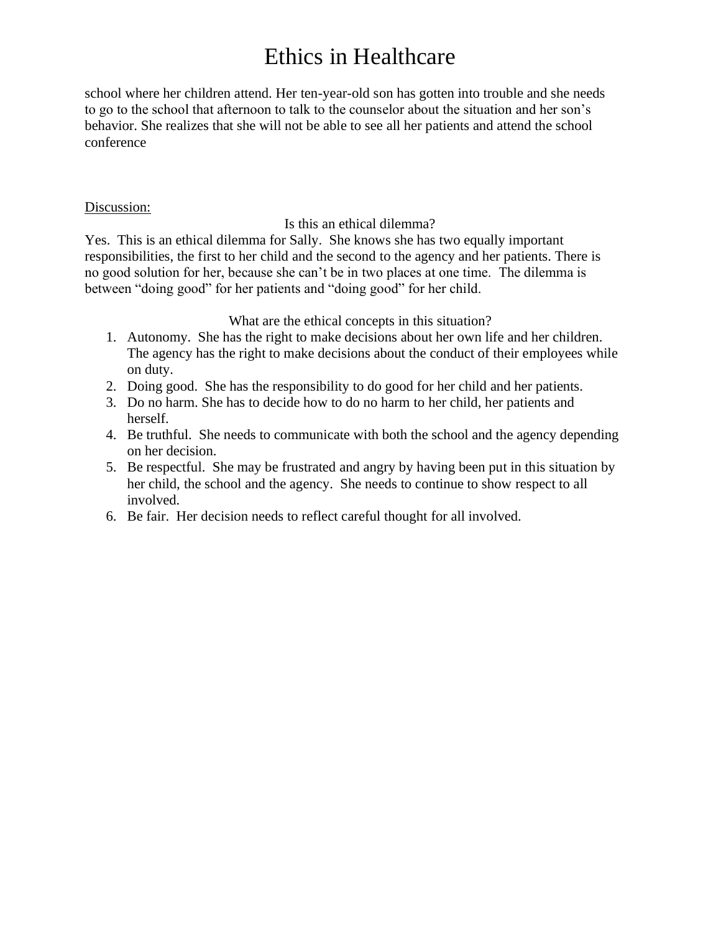school where her children attend. Her ten-year-old son has gotten into trouble and she needs to go to the school that afternoon to talk to the counselor about the situation and her son's behavior. She realizes that she will not be able to see all her patients and attend the school conference

#### Discussion:

Is this an ethical dilemma?

Yes. This is an ethical dilemma for Sally. She knows she has two equally important responsibilities, the first to her child and the second to the agency and her patients. There is no good solution for her, because she can't be in two places at one time. The dilemma is between "doing good" for her patients and "doing good" for her child.

What are the ethical concepts in this situation?

- 1. Autonomy. She has the right to make decisions about her own life and her children. The agency has the right to make decisions about the conduct of their employees while on duty.
- 2. Doing good. She has the responsibility to do good for her child and her patients.
- 3. Do no harm. She has to decide how to do no harm to her child, her patients and herself.
- 4. Be truthful. She needs to communicate with both the school and the agency depending on her decision.
- 5. Be respectful. She may be frustrated and angry by having been put in this situation by her child, the school and the agency. She needs to continue to show respect to all involved.
- 6. Be fair. Her decision needs to reflect careful thought for all involved.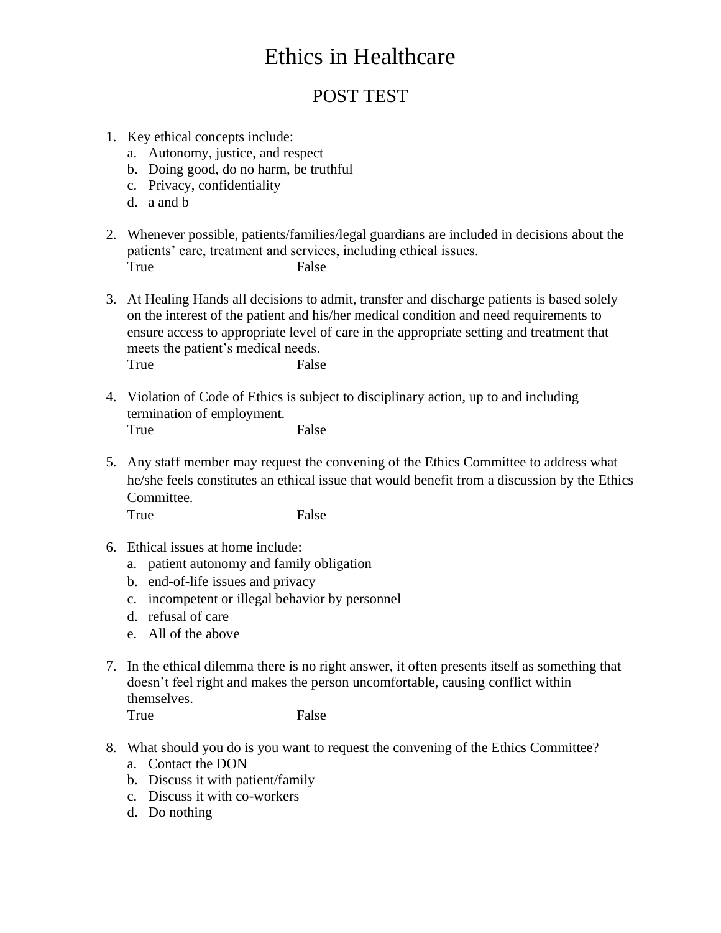### POST TEST

- 1. Key ethical concepts include:
	- a. Autonomy, justice, and respect
	- b. Doing good, do no harm, be truthful
	- c. Privacy, confidentiality
	- d. a and b
- 2. Whenever possible, patients/families/legal guardians are included in decisions about the patients' care, treatment and services, including ethical issues. True False
- 3. At Healing Hands all decisions to admit, transfer and discharge patients is based solely on the interest of the patient and his/her medical condition and need requirements to ensure access to appropriate level of care in the appropriate setting and treatment that meets the patient's medical needs. True False
- 4. Violation of Code of Ethics is subject to disciplinary action, up to and including termination of employment. True False
- 5. Any staff member may request the convening of the Ethics Committee to address what he/she feels constitutes an ethical issue that would benefit from a discussion by the Ethics Committee.

True False

- 6. Ethical issues at home include:
	- a. patient autonomy and family obligation
	- b. end-of-life issues and privacy
	- c. incompetent or illegal behavior by personnel
	- d. refusal of care
	- e. All of the above
- 7. In the ethical dilemma there is no right answer, it often presents itself as something that doesn't feel right and makes the person uncomfortable, causing conflict within themselves. True False

- 8. What should you do is you want to request the convening of the Ethics Committee?
	- a. Contact the DON
	- b. Discuss it with patient/family
	- c. Discuss it with co-workers
	- d. Do nothing